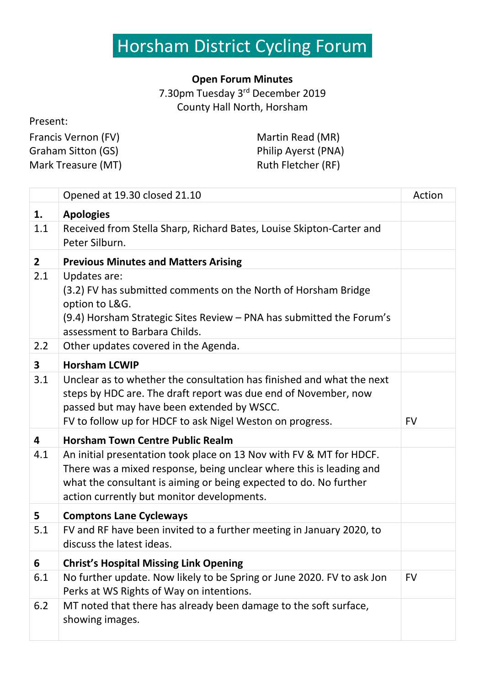## Horsham District Cycling Forumi

## **Open Forum Minutes**

7.30pm Tuesday 3<sup>rd</sup> December 2019 County Hall North, Horsham

## Present:

| Francis Vernon (FV) | Martin Read (MR)    |
|---------------------|---------------------|
| Graham Sitton (GS)  | Philip Ayerst (PNA) |
| Mark Treasure (MT)  | Ruth Fletcher (RF)  |

|                         | Opened at 19.30 closed 21.10                                                                                                                                                                                                                                  | Action    |
|-------------------------|---------------------------------------------------------------------------------------------------------------------------------------------------------------------------------------------------------------------------------------------------------------|-----------|
| 1.                      | <b>Apologies</b>                                                                                                                                                                                                                                              |           |
| 1.1                     | Received from Stella Sharp, Richard Bates, Louise Skipton-Carter and<br>Peter Silburn.                                                                                                                                                                        |           |
| 2 <sup>1</sup>          | <b>Previous Minutes and Matters Arising</b>                                                                                                                                                                                                                   |           |
| 2.1                     | Updates are:<br>(3.2) FV has submitted comments on the North of Horsham Bridge<br>option to L&G.<br>(9.4) Horsham Strategic Sites Review – PNA has submitted the Forum's<br>assessment to Barbara Childs.                                                     |           |
| 2.2                     | Other updates covered in the Agenda.                                                                                                                                                                                                                          |           |
| $\overline{\mathbf{3}}$ | <b>Horsham LCWIP</b>                                                                                                                                                                                                                                          |           |
| 3.1                     | Unclear as to whether the consultation has finished and what the next<br>steps by HDC are. The draft report was due end of November, now<br>passed but may have been extended by WSCC.<br>FV to follow up for HDCF to ask Nigel Weston on progress.           | <b>FV</b> |
| 4                       | <b>Horsham Town Centre Public Realm</b>                                                                                                                                                                                                                       |           |
| 4.1                     | An initial presentation took place on 13 Nov with FV & MT for HDCF.<br>There was a mixed response, being unclear where this is leading and<br>what the consultant is aiming or being expected to do. No further<br>action currently but monitor developments. |           |
| 5                       | <b>Comptons Lane Cycleways</b>                                                                                                                                                                                                                                |           |
| 5.1                     | FV and RF have been invited to a further meeting in January 2020, to<br>discuss the latest ideas.                                                                                                                                                             |           |
| 6                       | <b>Christ's Hospital Missing Link Opening</b>                                                                                                                                                                                                                 |           |
| 6.1                     | No further update. Now likely to be Spring or June 2020. FV to ask Jon<br>Perks at WS Rights of Way on intentions.                                                                                                                                            | <b>FV</b> |
| 6.2                     | MT noted that there has already been damage to the soft surface,<br>showing images.                                                                                                                                                                           |           |